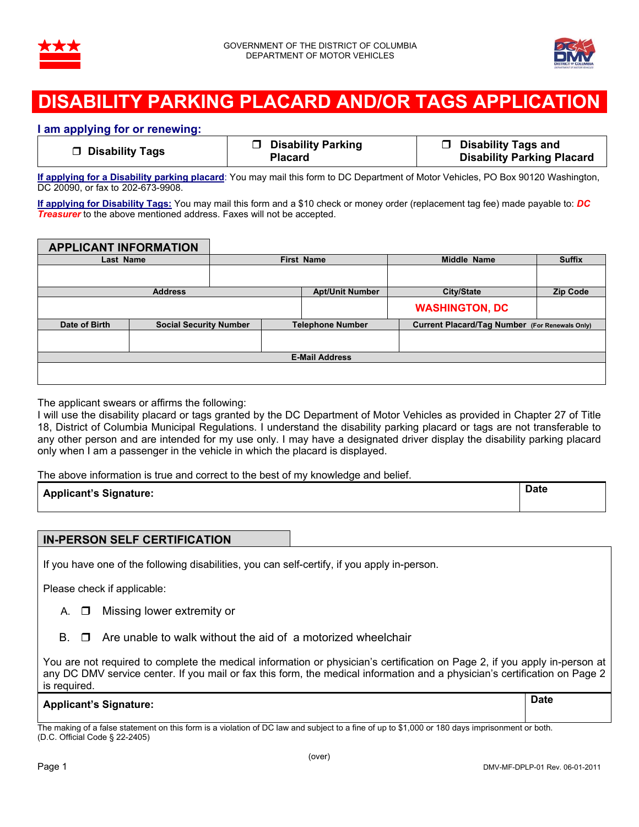



## **DISABILITY PARKING PLACARD AND/OR TAGS APPLICAT**

## **I am applying for or renewing:**

| □ Disability Tags | □ Disability Parking | <b>D</b> Disability Tags and      |
|-------------------|----------------------|-----------------------------------|
|                   | <b>Placard</b>       | <b>Disability Parking Placard</b> |

**If applying for a Disability parking placard**: You may mail this form to DC Department of Motor Vehicles, PO Box 90120 Washington, DC 20090, or fax to 202-673-9908.

**If applying for Disability Tags:** You may mail this form and a \$10 check or money order (replacement tag fee) made payable to: *DC Treasurer* to the above mentioned address. Faxes will not be accepted.

**APPLICANT INFORMATION Last Name Contract Contract Contract Contract Contract Contract Contract Contract Contract Contract Contract Contract Contract Contract Contract Contract Contract Contract Contract Contract Contract Contract Contract Cont Address Apt/Unit Number City/State Zip Code WASHINGTON, DC Date of Birth Social Security Number Telephone Number Current Placard/Tag Number (For Renewals Only) E-Mail Address** 

The applicant swears or affirms the following:

I will use the disability placard or tags granted by the DC Department of Motor Vehicles as provided in Chapter 27 of Title 18, District of Columbia Municipal Regulations. I understand the disability parking placard or tags are not transferable to any other person and are intended for my use only. I may have a designated driver display the disability parking placard only when I am a passenger in the vehicle in which the placard is displayed.

The above information is true and correct to the best of my knowledge and belief.

|                               | Date |
|-------------------------------|------|
| <b>Applicant's Signature:</b> |      |

## **IN-PERSON SELF CERTIFICATION**

If you have one of the following disabilities, you can self-certify, if you apply in-person.

Please check if applicable:

- A.  $\Box$  Missing lower extremity or
- $\mathsf{B}$ .  $\Box$  Are unable to walk without the aid of a motorized wheelchair

You are not required to complete the medical information or physician's certification on Page 2, if you apply in-person at any DC DMV service center. If you mail or fax this form, the medical information and a physician's certification on Page 2 is required.

|                               | <b>Date</b> |
|-------------------------------|-------------|
| <b>Applicant's Signature:</b> |             |

The making of a false statement on this form is a violation of DC law and subject to a fine of up to \$1,000 or 180 days imprisonment or both. (D.C. Official Code § 22-2405)